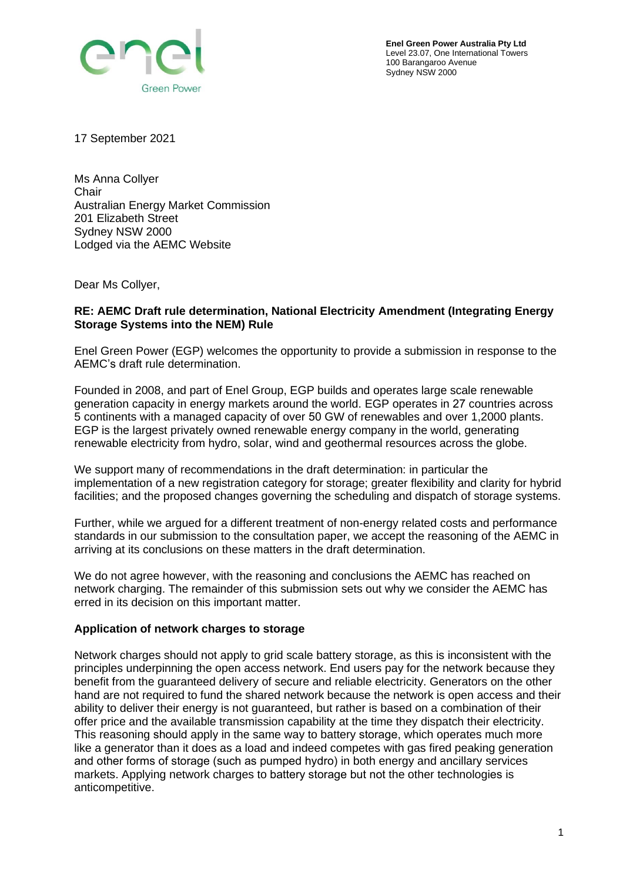

**Enel Green Power Australia Pty Ltd** Level 23.07, One International Towers 100 Barangaroo Avenue Sydney NSW 2000

17 September 2021

Ms Anna Collyer **Chair** Australian Energy Market Commission 201 Elizabeth Street Sydney NSW 2000 Lodged via the AEMC Website

Dear Ms Collyer,

## **RE: AEMC Draft rule determination, National Electricity Amendment (Integrating Energy Storage Systems into the NEM) Rule**

Enel Green Power (EGP) welcomes the opportunity to provide a submission in response to the AEMC's draft rule determination.

Founded in 2008, and part of Enel Group, EGP builds and operates large scale renewable generation capacity in energy markets around the world. EGP operates in 27 countries across 5 continents with a managed capacity of over 50 GW of renewables and over 1,2000 plants. EGP is the largest privately owned renewable energy company in the world, generating renewable electricity from hydro, solar, wind and geothermal resources across the globe.

We support many of recommendations in the draft determination: in particular the implementation of a new registration category for storage; greater flexibility and clarity for hybrid facilities; and the proposed changes governing the scheduling and dispatch of storage systems.

Further, while we argued for a different treatment of non-energy related costs and performance standards in our submission to the consultation paper, we accept the reasoning of the AEMC in arriving at its conclusions on these matters in the draft determination.

We do not agree however, with the reasoning and conclusions the AEMC has reached on network charging. The remainder of this submission sets out why we consider the AEMC has erred in its decision on this important matter.

## **Application of network charges to storage**

Network charges should not apply to grid scale battery storage, as this is inconsistent with the principles underpinning the open access network. End users pay for the network because they benefit from the guaranteed delivery of secure and reliable electricity. Generators on the other hand are not required to fund the shared network because the network is open access and their ability to deliver their energy is not guaranteed, but rather is based on a combination of their offer price and the available transmission capability at the time they dispatch their electricity. This reasoning should apply in the same way to battery storage, which operates much more like a generator than it does as a load and indeed competes with gas fired peaking generation and other forms of storage (such as pumped hydro) in both energy and ancillary services markets. Applying network charges to battery storage but not the other technologies is anticompetitive.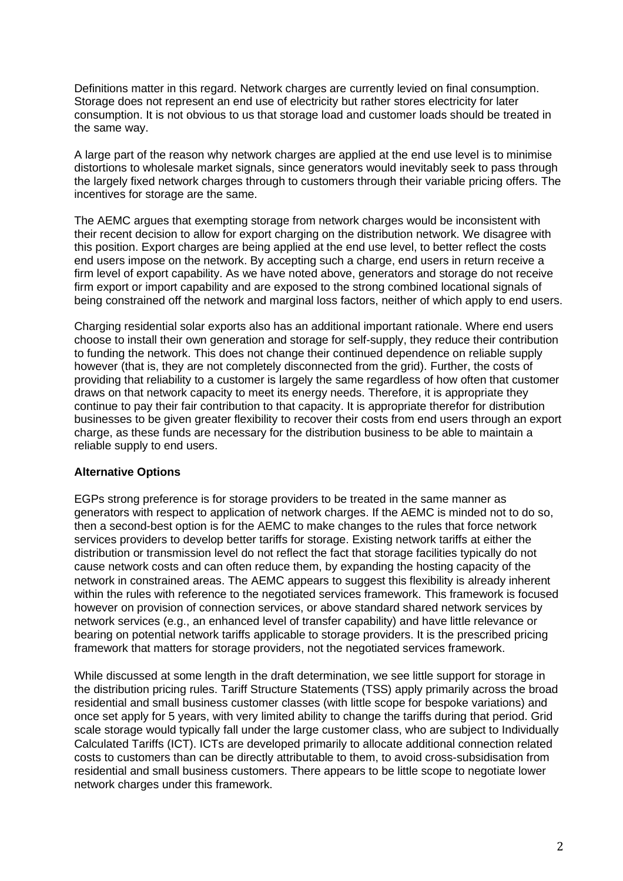Definitions matter in this regard. Network charges are currently levied on final consumption. Storage does not represent an end use of electricity but rather stores electricity for later consumption. It is not obvious to us that storage load and customer loads should be treated in the same way.

A large part of the reason why network charges are applied at the end use level is to minimise distortions to wholesale market signals, since generators would inevitably seek to pass through the largely fixed network charges through to customers through their variable pricing offers. The incentives for storage are the same.

The AEMC argues that exempting storage from network charges would be inconsistent with their recent decision to allow for export charging on the distribution network. We disagree with this position. Export charges are being applied at the end use level, to better reflect the costs end users impose on the network. By accepting such a charge, end users in return receive a firm level of export capability. As we have noted above, generators and storage do not receive firm export or import capability and are exposed to the strong combined locational signals of being constrained off the network and marginal loss factors, neither of which apply to end users.

Charging residential solar exports also has an additional important rationale. Where end users choose to install their own generation and storage for self-supply, they reduce their contribution to funding the network. This does not change their continued dependence on reliable supply however (that is, they are not completely disconnected from the grid). Further, the costs of providing that reliability to a customer is largely the same regardless of how often that customer draws on that network capacity to meet its energy needs. Therefore, it is appropriate they continue to pay their fair contribution to that capacity. It is appropriate therefor for distribution businesses to be given greater flexibility to recover their costs from end users through an export charge, as these funds are necessary for the distribution business to be able to maintain a reliable supply to end users.

## **Alternative Options**

EGPs strong preference is for storage providers to be treated in the same manner as generators with respect to application of network charges. If the AEMC is minded not to do so, then a second-best option is for the AEMC to make changes to the rules that force network services providers to develop better tariffs for storage. Existing network tariffs at either the distribution or transmission level do not reflect the fact that storage facilities typically do not cause network costs and can often reduce them, by expanding the hosting capacity of the network in constrained areas. The AEMC appears to suggest this flexibility is already inherent within the rules with reference to the negotiated services framework. This framework is focused however on provision of connection services, or above standard shared network services by network services (e.g., an enhanced level of transfer capability) and have little relevance or bearing on potential network tariffs applicable to storage providers. It is the prescribed pricing framework that matters for storage providers, not the negotiated services framework.

While discussed at some length in the draft determination, we see little support for storage in the distribution pricing rules. Tariff Structure Statements (TSS) apply primarily across the broad residential and small business customer classes (with little scope for bespoke variations) and once set apply for 5 years, with very limited ability to change the tariffs during that period. Grid scale storage would typically fall under the large customer class, who are subject to Individually Calculated Tariffs (ICT). ICTs are developed primarily to allocate additional connection related costs to customers than can be directly attributable to them, to avoid cross-subsidisation from residential and small business customers. There appears to be little scope to negotiate lower network charges under this framework.